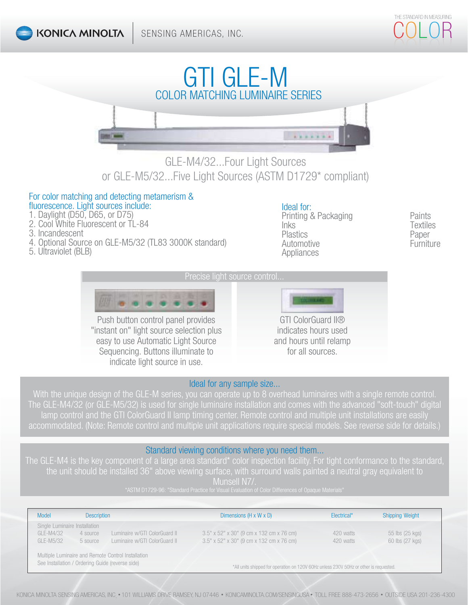# GTI GLE-M  $............$

## GLE-M4/32...Four Light Sources or GLE-M5/32...Five Light Sources (ASTM D1729\* compliant)

#### For color matching and detecting metamerism & fluorescence. Light sources include:

- 1. Daylight (D50, D65, or D75)
- 2. Cool White Fluorescent or TL-84
- 3. Incandescent
- 4. Optional Source on GLE-M5/32 (TL83 3000K standard)
- 5. Ultraviolet (BLB)

## Ideal for:

Printing & Packaging **Paints** Inks Textiles Plastics Paper Automotive **Furniture Furniture** Appliances



Push button control panel provides "instant on" light source selection plus easy to use Automatic Light Source Sequencing. Buttons illuminate to indicate light source in use.



indicates hours used and hours until relamp for all sources.

## Ideal for any sample size...

With the unique design of the GLE-M series, you can operate up to 8 overhead luminaires with a single remote control. The GLE-M4/32 (or GLE-M5/32) is used for single luminaire installation and comes with the advanced "soft-touch" digital accommodated. (Note: Remote control and multiple unit applications require special models. See reverse side for details.)

## Standard viewing conditions where you need them...

the unit should be installed 36" above viewing surface, with surround walls painted a neutral gray equivalent to Munsell N7/.

\*ASTM D1729-96: "Standard Practice for Visual Evaluation of Color Differences of Opaque Materials"

| <b>Model</b>                                                                                           | <b>Description</b> |                               | Dimensions $(H \times W \times D)$                                                    | Electrical* | <b>Shipping Weight</b> |
|--------------------------------------------------------------------------------------------------------|--------------------|-------------------------------|---------------------------------------------------------------------------------------|-------------|------------------------|
| Single Luminaire Installation                                                                          |                    |                               |                                                                                       |             |                        |
| GLE-M4/32                                                                                              | 4 source           | Luminaire w/GTI ColorGuard II | 3.5" x 52" x 30" (9 cm x 132 cm x 76 cm)                                              | 420 watts   | 55 lbs (25 kgs)        |
| GLE-M5/32                                                                                              | 5 source           | Luminaire w/GTI ColorGuard II | 3.5" x 52" x 30" (9 cm x 132 cm x 76 cm)                                              | 420 watts   | 60 lbs (27 kgs)        |
| Multiple Luminaire and Remote Control Installation<br>See Installation / Ordering Guide (reverse side) |                    |                               | *All units shipped for operation on 120V 60Hz unless 230V 50Hz or other is requested. |             |                        |

KONICA MINOLTA SENSING AMERICAS, INC. • 101 WILLIAMS DRIVE RAMSEY, NJ 07446 • KONICAMINOLTA.COM/SENSINGUSA • TOLL FREE 888-473-2656 • OUTSIDE USA 201-236-4300